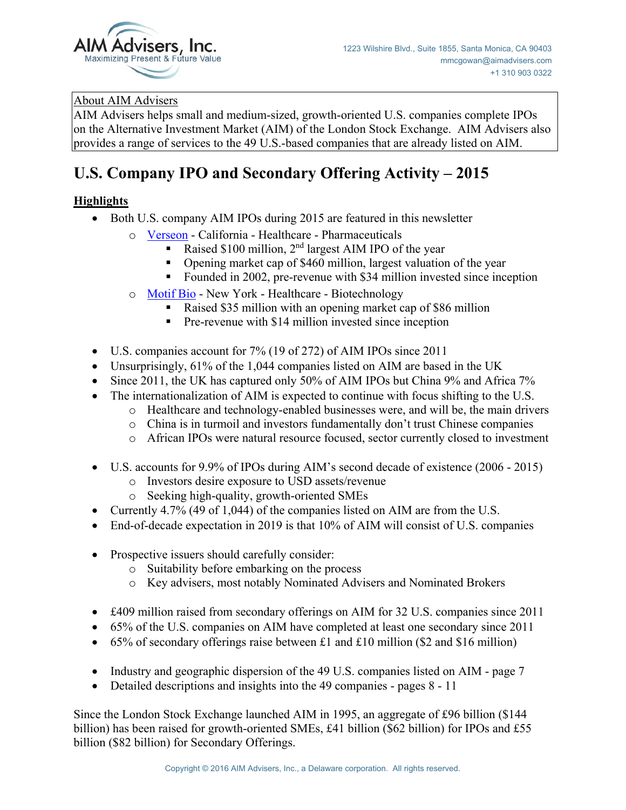

### About AIM Advisers

AIM Advisers helps small and medium-sized, growth-oriented U.S. companies complete IPOs on the Alternative Investment Market (AIM) of the London Stock Exchange. AIM Advisers also provides a range of services to the 49 U.S.-based companies that are already listed on AIM.

# **U.S. Company IPO and Secondary Offering Activity – 2015**

## **Highlights**

- Both U.S. company AIM IPOs during 2015 are featured in this newsletter
	- o [Verseon](http://www.aimadvisers.com/files/us_aim_ipo_14.pdf)  California Healthcare Pharmaceuticals
		- Raised \$100 million, 2nd largest AIM IPO of the year
		- Opening market cap of \$460 million, largest valuation of the year
		- Founded in 2002, pre-revenue with \$34 million invested since inception
	- o [Motif Bio](http://www.aimadvisers.com/files/us_aim_ipo_15.pdf)  New York Healthcare Biotechnology
		- Raised \$35 million with an opening market cap of \$86 million
		- Pre-revenue with \$14 million invested since inception
- $\bullet$  U.S. companies account for 7% (19 of 272) of AIM IPOs since 2011
- Unsurprisingly,  $61\%$  of the 1,044 companies listed on AIM are based in the UK
- $\bullet$  Since 2011, the UK has captured only 50% of AIM IPOs but China 9% and Africa 7%
- $\bullet$  The internationalization of AIM is expected to continue with focus shifting to the U.S.
	- o Healthcare and technology-enabled businesses were, and will be, the main drivers
	- o China is in turmoil and investors fundamentally don't trust Chinese companies
	- o African IPOs were natural resource focused, sector currently closed to investment
- $\bullet$  U.S. accounts for 9.9% of IPOs during AIM's second decade of existence (2006 2015)
	- o Investors desire exposure to USD assets/revenue
	- o Seeking high-quality, growth-oriented SMEs
- Currently 4.7% (49 of 1,044) of the companies listed on AIM are from the U.S.
- $\bullet$  End-of-decade expectation in 2019 is that 10% of AIM will consist of U.S. companies
- Prospective issuers should carefully consider:
	- o Suitability before embarking on the process
	- o Key advisers, most notably Nominated Advisers and Nominated Brokers
- $\bullet$  £409 million raised from secondary offerings on AIM for 32 U.S. companies since 2011
- 65% of the U.S. companies on AIM have completed at least one secondary since 2011
- $\bullet$  65% of secondary offerings raise between £1 and £10 million (\$2 and \$16 million)
- Industry and geographic dispersion of the 49 U.S. companies listed on AIM page  $7$
- Detailed descriptions and insights into the 49 companies pages 8 11

Since the London Stock Exchange launched AIM in 1995, an aggregate of £96 billion (\$144 billion) has been raised for growth-oriented SMEs, £41 billion (\$62 billion) for IPOs and £55 billion (\$82 billion) for Secondary Offerings.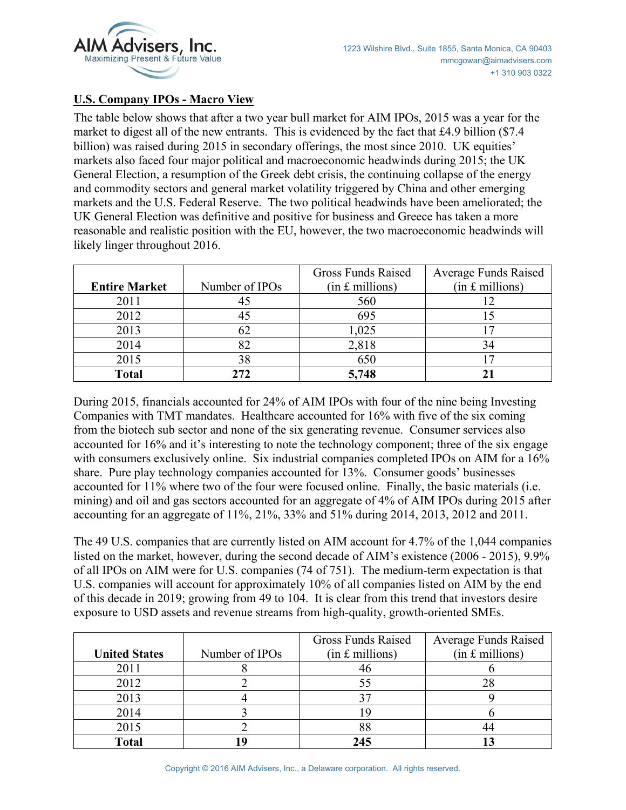

#### **U.S. Company IPOs - Macro View**

The table below shows that after a two year bull market for AIM IPOs, 2015 was a year for the market to digest all of the new entrants. This is evidenced by the fact that £4.9 billion (\$7.4 billion) was raised during 2015 in secondary offerings, the most since 2010. UK equities' markets also faced four major political and macroeconomic headwinds during 2015; the UK General Election, a resumption of the Greek debt crisis, the continuing collapse of the energy and commodity sectors and general market volatility triggered by China and other emerging markets and the U.S. Federal Reserve. The two political headwinds have been ameliorated; the UK General Election was definitive and positive for business and Greece has taken a more reasonable and realistic position with the EU, however, the two macroeconomic headwinds will likely linger throughout 2016.

|                      |                | Gross Funds Raised | <b>Average Funds Raised</b> |  |
|----------------------|----------------|--------------------|-----------------------------|--|
| <b>Entire Market</b> | Number of IPOs | $(in £$ millions)  | $(in £$ millions)           |  |
| 2011                 |                | 560                |                             |  |
| 2012                 | 45             | 695                |                             |  |
| 2013                 | 62             | 1,025              |                             |  |
| 2014                 |                | 2,818              | 34                          |  |
| 2015                 | 38             | 650                |                             |  |
| <b>Total</b>         | 272            | 5,748              |                             |  |

During 2015, financials accounted for 24% of AIM IPOs with four of the nine being Investing Companies with TMT mandates. Healthcare accounted for 16% with five of the six coming from the biotech sub sector and none of the six generating revenue. Consumer services also accounted for 16% and it's interesting to note the technology component; three of the six engage with consumers exclusively online. Six industrial companies completed IPOs on AIM for a 16% share. Pure play technology companies accounted for 13%. Consumer goods' businesses accounted for 11% where two of the four were focused online. Finally, the basic materials (i.e. mining) and oil and gas sectors accounted for an aggregate of 4% of AIM IPOs during 2015 after accounting for an aggregate of 11%, 21%, 33% and 51% during 2014, 2013, 2012 and 2011.

The 49 U.S. companies that are currently listed on AIM account for 4.7% of the 1,044 companies listed on the market, however, during the second decade of AIM's existence (2006 - 2015), 9.9% of all IPOs on AIM were for U.S. companies (74 of 751). The medium-term expectation is that U.S. companies will account for approximately 10% of all companies listed on AIM by the end of this decade in 2019; growing from 49 to 104. It is clear from this trend that investors desire exposure to USD assets and revenue streams from high-quality, growth-oriented SMEs.

|                      |                | Gross Funds Raised | <b>Average Funds Raised</b> |  |
|----------------------|----------------|--------------------|-----------------------------|--|
| <b>United States</b> | Number of IPOs | $(in £$ millions)  | $(in £$ millions)           |  |
| 2011                 |                |                    |                             |  |
| 2012                 |                |                    |                             |  |
| 2013                 |                |                    |                             |  |
| 2014                 |                |                    |                             |  |
| 2015                 |                |                    |                             |  |
| <b>Total</b>         |                | 245                |                             |  |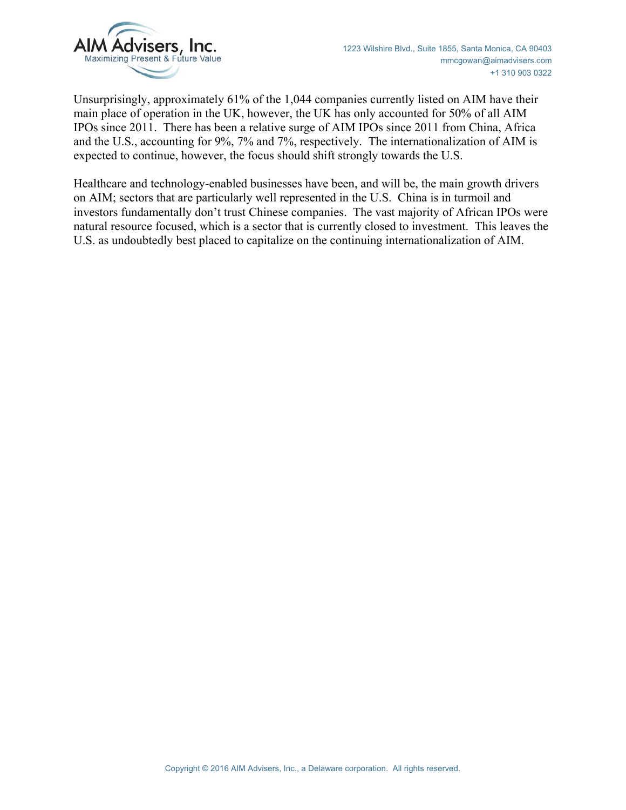

Unsurprisingly, approximately 61% of the 1,044 companies currently listed on AIM have their main place of operation in the UK, however, the UK has only accounted for 50% of all AIM IPOs since 2011. There has been a relative surge of AIM IPOs since 2011 from China, Africa and the U.S., accounting for 9%, 7% and 7%, respectively. The internationalization of AIM is expected to continue, however, the focus should shift strongly towards the U.S.

Healthcare and technology-enabled businesses have been, and will be, the main growth drivers on AIM; sectors that are particularly well represented in the U.S. China is in turmoil and investors fundamentally don't trust Chinese companies. The vast majority of African IPOs were natural resource focused, which is a sector that is currently closed to investment. This leaves the U.S. as undoubtedly best placed to capitalize on the continuing internationalization of AIM.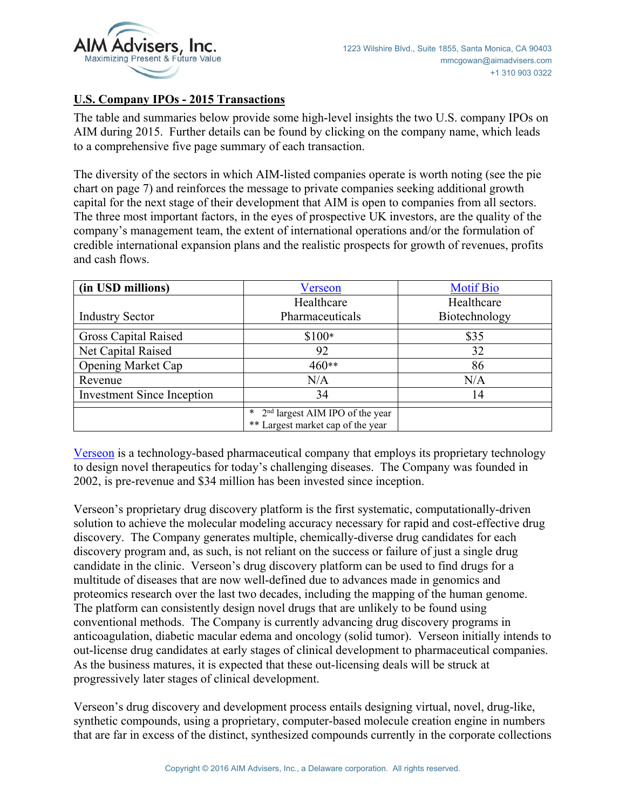

#### **U.S. Company IPOs - 2015 Transactions**

The table and summaries below provide some high-level insights the two U.S. company IPOs on AIM during 2015. Further details can be found by clicking on the company name, which leads to a comprehensive five page summary of each transaction.

The diversity of the sectors in which AIM-listed companies operate is worth noting (see the pie chart on page 7) and reinforces the message to private companies seeking additional growth capital for the next stage of their development that AIM is open to companies from all sectors. The three most important factors, in the eyes of prospective UK investors, are the quality of the company's management team, the extent of international operations and/or the formulation of credible international expansion plans and the realistic prospects for growth of revenues, profits and cash flows.

| (in USD millions)                 | Verseon                                                                          | <b>Motif Bio</b> |  |
|-----------------------------------|----------------------------------------------------------------------------------|------------------|--|
|                                   | Healthcare                                                                       | Healthcare       |  |
| <b>Industry Sector</b>            | Pharmaceuticals                                                                  | Biotechnology    |  |
| <b>Gross Capital Raised</b>       | $$100*$                                                                          | \$35             |  |
| Net Capital Raised                | 92                                                                               | 32               |  |
| <b>Opening Market Cap</b>         | 460**                                                                            | 86               |  |
| Revenue                           | N/A                                                                              | N/A              |  |
| <b>Investment Since Inception</b> | 34                                                                               | 14               |  |
|                                   | $2nd$ largest AIM IPO of the year<br>$\ast$<br>** Largest market cap of the year |                  |  |

[Verseon](http://www.aimadvisers.com/files/us_aim_ipo_14.pdf) is a technology-based pharmaceutical company that employs its proprietary technology to design novel therapeutics for today's challenging diseases. The Company was founded in 2002, is pre-revenue and \$34 million has been invested since inception.

Verseon's proprietary drug discovery platform is the first systematic, computationally-driven solution to achieve the molecular modeling accuracy necessary for rapid and cost-effective drug discovery. The Company generates multiple, chemically-diverse drug candidates for each discovery program and, as such, is not reliant on the success or failure of just a single drug candidate in the clinic. Verseon's drug discovery platform can be used to find drugs for a multitude of diseases that are now well-defined due to advances made in genomics and proteomics research over the last two decades, including the mapping of the human genome. The platform can consistently design novel drugs that are unlikely to be found using conventional methods. The Company is currently advancing drug discovery programs in anticoagulation, diabetic macular edema and oncology (solid tumor). Verseon initially intends to out-license drug candidates at early stages of clinical development to pharmaceutical companies. As the business matures, it is expected that these out-licensing deals will be struck at progressively later stages of clinical development.

Verseon's drug discovery and development process entails designing virtual, novel, drug-like, synthetic compounds, using a proprietary, computer-based molecule creation engine in numbers that are far in excess of the distinct, synthesized compounds currently in the corporate collections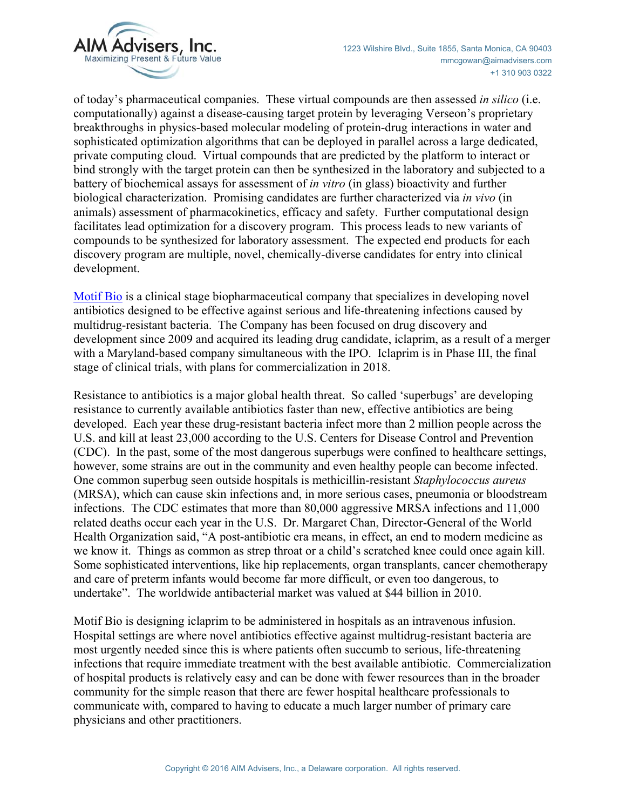

of today's pharmaceutical companies. These virtual compounds are then assessed *in silico* (i.e. computationally) against a disease-causing target protein by leveraging Verseon's proprietary breakthroughs in physics-based molecular modeling of protein-drug interactions in water and sophisticated optimization algorithms that can be deployed in parallel across a large dedicated, private computing cloud. Virtual compounds that are predicted by the platform to interact or bind strongly with the target protein can then be synthesized in the laboratory and subjected to a battery of biochemical assays for assessment of *in vitro* (in glass) bioactivity and further biological characterization. Promising candidates are further characterized via *in vivo* (in animals) assessment of pharmacokinetics, efficacy and safety. Further computational design facilitates lead optimization for a discovery program. This process leads to new variants of compounds to be synthesized for laboratory assessment. The expected end products for each discovery program are multiple, novel, chemically-diverse candidates for entry into clinical development.

[Motif Bio](http://www.aimadvisers.com/files/us_aim_ipo_15.pdf) is a clinical stage biopharmaceutical company that specializes in developing novel antibiotics designed to be effective against serious and life-threatening infections caused by multidrug-resistant bacteria. The Company has been focused on drug discovery and development since 2009 and acquired its leading drug candidate, iclaprim, as a result of a merger with a Maryland-based company simultaneous with the IPO. Iclaprim is in Phase III, the final stage of clinical trials, with plans for commercialization in 2018.

Resistance to antibiotics is a major global health threat. So called 'superbugs' are developing resistance to currently available antibiotics faster than new, effective antibiotics are being developed. Each year these drug-resistant bacteria infect more than 2 million people across the U.S. and kill at least 23,000 according to the U.S. Centers for Disease Control and Prevention (CDC). In the past, some of the most dangerous superbugs were confined to healthcare settings, however, some strains are out in the community and even healthy people can become infected. One common superbug seen outside hospitals is methicillin-resistant *Staphylococcus aureus* (MRSA), which can cause skin infections and, in more serious cases, pneumonia or bloodstream infections. The CDC estimates that more than 80,000 aggressive MRSA infections and 11,000 related deaths occur each year in the U.S. Dr. Margaret Chan, Director-General of the World Health Organization said, "A post-antibiotic era means, in effect, an end to modern medicine as we know it. Things as common as strep throat or a child's scratched knee could once again kill. Some sophisticated interventions, like hip replacements, organ transplants, cancer chemotherapy and care of preterm infants would become far more difficult, or even too dangerous, to undertake". The worldwide antibacterial market was valued at \$44 billion in 2010.

Motif Bio is designing iclaprim to be administered in hospitals as an intravenous infusion. Hospital settings are where novel antibiotics effective against multidrug-resistant bacteria are most urgently needed since this is where patients often succumb to serious, life-threatening infections that require immediate treatment with the best available antibiotic. Commercialization of hospital products is relatively easy and can be done with fewer resources than in the broader community for the simple reason that there are fewer hospital healthcare professionals to communicate with, compared to having to educate a much larger number of primary care physicians and other practitioners.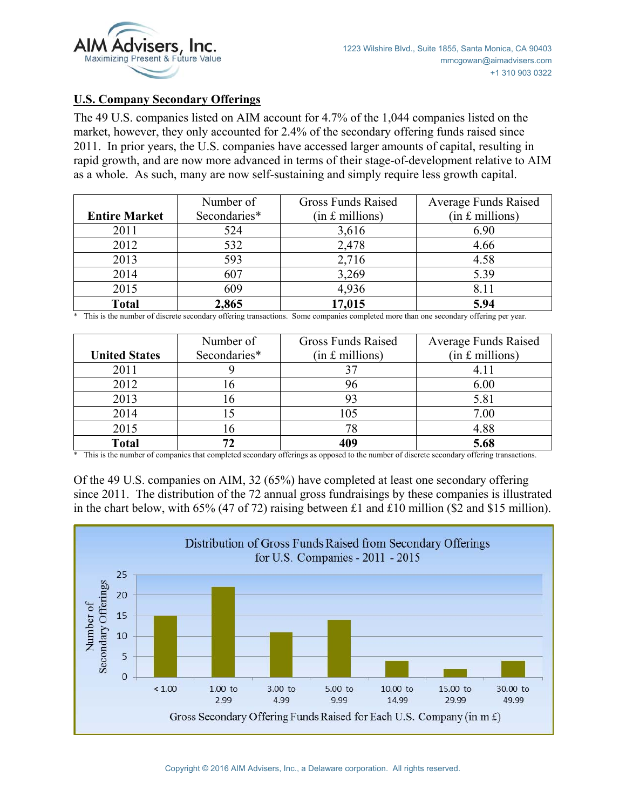

#### **U.S. Company Secondary Offerings**

The 49 U.S. companies listed on AIM account for 4.7% of the 1,044 companies listed on the market, however, they only accounted for 2.4% of the secondary offering funds raised since 2011. In prior years, the U.S. companies have accessed larger amounts of capital, resulting in rapid growth, and are now more advanced in terms of their stage-of-development relative to AIM as a whole. As such, many are now self-sustaining and simply require less growth capital.

|                      | Number of    | <b>Gross Funds Raised</b> | <b>Average Funds Raised</b> |  |
|----------------------|--------------|---------------------------|-----------------------------|--|
| <b>Entire Market</b> | Secondaries* | $(in £$ millions)         | $(in f.$ millions)          |  |
| 2011                 | 524          | 3,616                     | 6.90                        |  |
| 2012                 | 532          | 2,478                     | 4.66                        |  |
| 2013                 | 593          | 2,716                     | 4.58                        |  |
| 2014                 | 607          | 3,269                     | 5.39                        |  |
| 2015                 | 609          | 4,936                     | 8.11                        |  |
| <b>Total</b>         | 2,865        | 17,015                    | 5.94                        |  |

\* This is the number of discrete secondary offering transactions. Some companies completed more than one secondary offering per year.

|                      | Number of    | <b>Gross Funds Raised</b> | <b>Average Funds Raised</b> |  |
|----------------------|--------------|---------------------------|-----------------------------|--|
| <b>United States</b> | Secondaries* | $(in £$ millions)         | $(in £$ millions)           |  |
| 2011                 |              |                           |                             |  |
| 2012                 | 16           |                           | 6.00                        |  |
| 2013                 | 16           |                           | 5.81                        |  |
| 2014                 |              | 105                       | 7.00                        |  |
| 2015                 | l6           |                           | 4.88                        |  |
| <b>Total</b>         | 72           | 409                       | 5.68                        |  |

\* This is the number of companies that completed secondary offerings as opposed to the number of discrete secondary offering transactions.

Of the 49 U.S. companies on AIM, 32 (65%) have completed at least one secondary offering since 2011. The distribution of the 72 annual gross fundraisings by these companies is illustrated in the chart below, with 65% (47 of 72) raising between £1 and £10 million (\$2 and \$15 million).

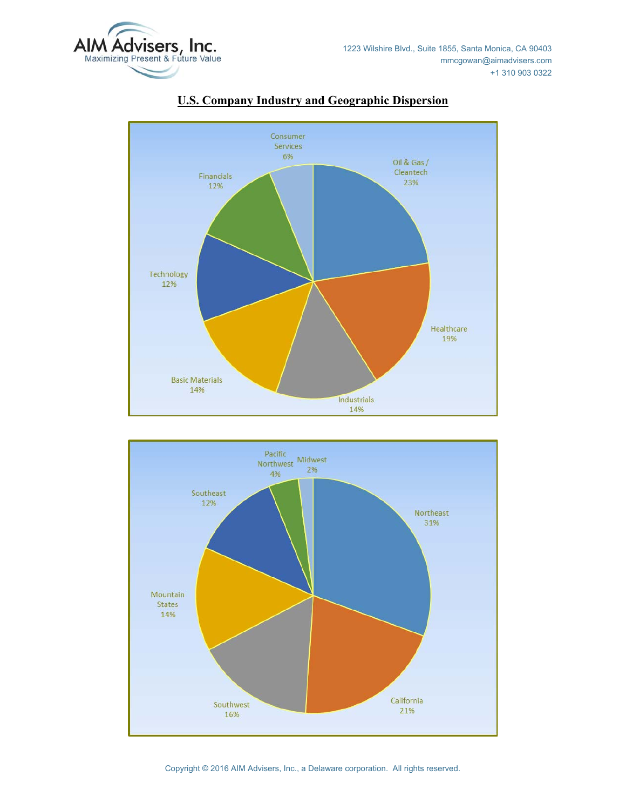



## **U.S. Company Industry and Geographic Dispersion**

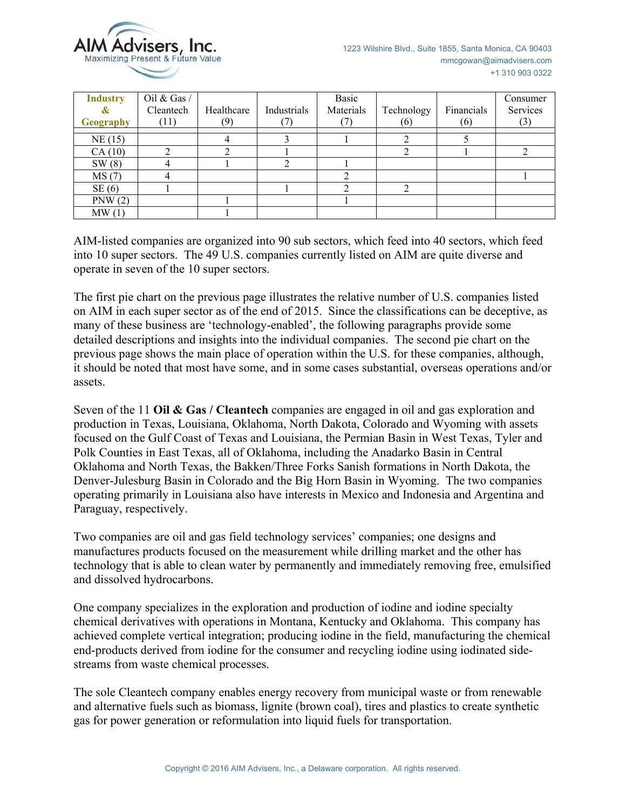

| <b>Industry</b><br>$\boldsymbol{\alpha}$<br>Geography | Oil & Gas /<br>Cleantech<br>(11) | Healthcare<br>(9) | Industrials | Basic<br>Materials | Technology<br>(6) | Financials<br>(6) | Consumer<br>Services<br>(3) |
|-------------------------------------------------------|----------------------------------|-------------------|-------------|--------------------|-------------------|-------------------|-----------------------------|
| NE(15)                                                |                                  |                   |             |                    |                   |                   |                             |
| CA(10)                                                |                                  |                   |             |                    |                   |                   |                             |
| SW(8)                                                 |                                  |                   |             |                    |                   |                   |                             |
| MS(7)                                                 |                                  |                   |             |                    |                   |                   |                             |
| SE(6)                                                 |                                  |                   |             |                    | ◠                 |                   |                             |
| PNW(2)                                                |                                  |                   |             |                    |                   |                   |                             |
| MW(1)                                                 |                                  |                   |             |                    |                   |                   |                             |

AIM-listed companies are organized into 90 sub sectors, which feed into 40 sectors, which feed into 10 super sectors. The 49 U.S. companies currently listed on AIM are quite diverse and operate in seven of the 10 super sectors.

The first pie chart on the previous page illustrates the relative number of U.S. companies listed on AIM in each super sector as of the end of 2015. Since the classifications can be deceptive, as many of these business are 'technology-enabled', the following paragraphs provide some detailed descriptions and insights into the individual companies. The second pie chart on the previous page shows the main place of operation within the U.S. for these companies, although, it should be noted that most have some, and in some cases substantial, overseas operations and/or assets.

Seven of the 11 **Oil & Gas / Cleantech** companies are engaged in oil and gas exploration and production in Texas, Louisiana, Oklahoma, North Dakota, Colorado and Wyoming with assets focused on the Gulf Coast of Texas and Louisiana, the Permian Basin in West Texas, Tyler and Polk Counties in East Texas, all of Oklahoma, including the Anadarko Basin in Central Oklahoma and North Texas, the Bakken/Three Forks Sanish formations in North Dakota, the Denver-Julesburg Basin in Colorado and the Big Horn Basin in Wyoming. The two companies operating primarily in Louisiana also have interests in Mexico and Indonesia and Argentina and Paraguay, respectively.

Two companies are oil and gas field technology services' companies; one designs and manufactures products focused on the measurement while drilling market and the other has technology that is able to clean water by permanently and immediately removing free, emulsified and dissolved hydrocarbons.

One company specializes in the exploration and production of iodine and iodine specialty chemical derivatives with operations in Montana, Kentucky and Oklahoma. This company has achieved complete vertical integration; producing iodine in the field, manufacturing the chemical end-products derived from iodine for the consumer and recycling iodine using iodinated sidestreams from waste chemical processes.

The sole Cleantech company enables energy recovery from municipal waste or from renewable and alternative fuels such as biomass, lignite (brown coal), tires and plastics to create synthetic gas for power generation or reformulation into liquid fuels for transportation.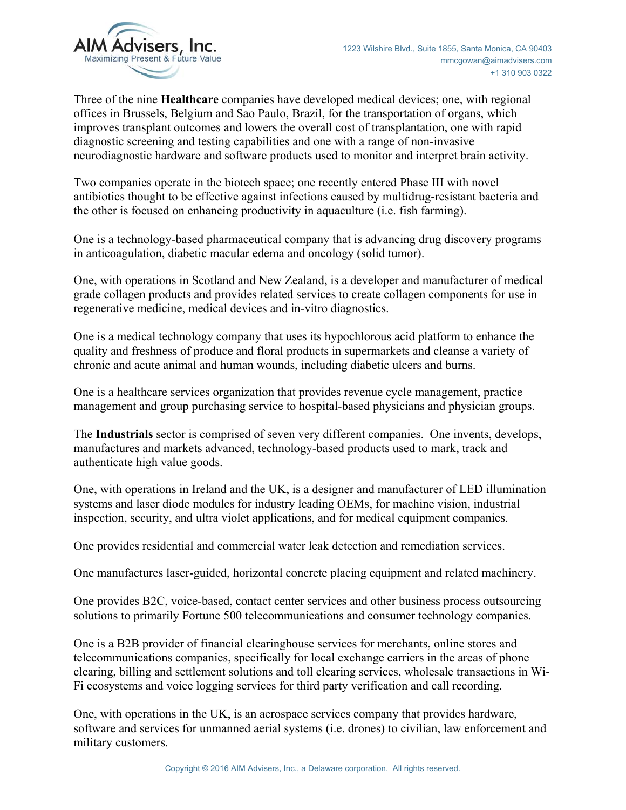

Three of the nine **Healthcare** companies have developed medical devices; one, with regional offices in Brussels, Belgium and Sao Paulo, Brazil, for the transportation of organs, which improves transplant outcomes and lowers the overall cost of transplantation, one with rapid diagnostic screening and testing capabilities and one with a range of non-invasive neurodiagnostic hardware and software products used to monitor and interpret brain activity.

Two companies operate in the biotech space; one recently entered Phase III with novel antibiotics thought to be effective against infections caused by multidrug-resistant bacteria and the other is focused on enhancing productivity in aquaculture (i.e. fish farming).

One is a technology-based pharmaceutical company that is advancing drug discovery programs in anticoagulation, diabetic macular edema and oncology (solid tumor).

One, with operations in Scotland and New Zealand, is a developer and manufacturer of medical grade collagen products and provides related services to create collagen components for use in regenerative medicine, medical devices and in-vitro diagnostics.

One is a medical technology company that uses its hypochlorous acid platform to enhance the quality and freshness of produce and floral products in supermarkets and cleanse a variety of chronic and acute animal and human wounds, including diabetic ulcers and burns.

One is a healthcare services organization that provides revenue cycle management, practice management and group purchasing service to hospital-based physicians and physician groups.

The **Industrials** sector is comprised of seven very different companies. One invents, develops, manufactures and markets advanced, technology-based products used to mark, track and authenticate high value goods.

One, with operations in Ireland and the UK, is a designer and manufacturer of LED illumination systems and laser diode modules for industry leading OEMs, for machine vision, industrial inspection, security, and ultra violet applications, and for medical equipment companies.

One provides residential and commercial water leak detection and remediation services.

One manufactures laser-guided, horizontal concrete placing equipment and related machinery.

One provides B2C, voice-based, contact center services and other business process outsourcing solutions to primarily Fortune 500 telecommunications and consumer technology companies.

One is a B2B provider of financial clearinghouse services for merchants, online stores and telecommunications companies, specifically for local exchange carriers in the areas of phone clearing, billing and settlement solutions and toll clearing services, wholesale transactions in Wi-Fi ecosystems and voice logging services for third party verification and call recording.

One, with operations in the UK, is an aerospace services company that provides hardware, software and services for unmanned aerial systems (i.e. drones) to civilian, law enforcement and military customers.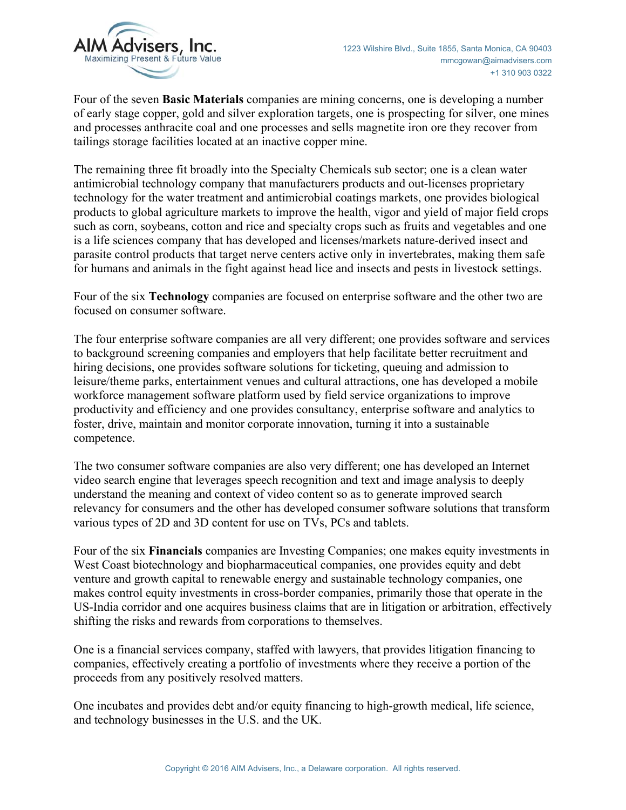

Four of the seven **Basic Materials** companies are mining concerns, one is developing a number of early stage copper, gold and silver exploration targets, one is prospecting for silver, one mines and processes anthracite coal and one processes and sells magnetite iron ore they recover from tailings storage facilities located at an inactive copper mine.

The remaining three fit broadly into the Specialty Chemicals sub sector; one is a clean water antimicrobial technology company that manufacturers products and out-licenses proprietary technology for the water treatment and antimicrobial coatings markets, one provides biological products to global agriculture markets to improve the health, vigor and yield of major field crops such as corn, soybeans, cotton and rice and specialty crops such as fruits and vegetables and one is a life sciences company that has developed and licenses/markets nature-derived insect and parasite control products that target nerve centers active only in invertebrates, making them safe for humans and animals in the fight against head lice and insects and pests in livestock settings.

Four of the six **Technology** companies are focused on enterprise software and the other two are focused on consumer software.

The four enterprise software companies are all very different; one provides software and services to background screening companies and employers that help facilitate better recruitment and hiring decisions, one provides software solutions for ticketing, queuing and admission to leisure/theme parks, entertainment venues and cultural attractions, one has developed a mobile workforce management software platform used by field service organizations to improve productivity and efficiency and one provides consultancy, enterprise software and analytics to foster, drive, maintain and monitor corporate innovation, turning it into a sustainable competence.

The two consumer software companies are also very different; one has developed an Internet video search engine that leverages speech recognition and text and image analysis to deeply understand the meaning and context of video content so as to generate improved search relevancy for consumers and the other has developed consumer software solutions that transform various types of 2D and 3D content for use on TVs, PCs and tablets.

Four of the six **Financials** companies are Investing Companies; one makes equity investments in West Coast biotechnology and biopharmaceutical companies, one provides equity and debt venture and growth capital to renewable energy and sustainable technology companies, one makes control equity investments in cross-border companies, primarily those that operate in the US-India corridor and one acquires business claims that are in litigation or arbitration, effectively shifting the risks and rewards from corporations to themselves.

One is a financial services company, staffed with lawyers, that provides litigation financing to companies, effectively creating a portfolio of investments where they receive a portion of the proceeds from any positively resolved matters.

One incubates and provides debt and/or equity financing to high-growth medical, life science, and technology businesses in the U.S. and the UK.